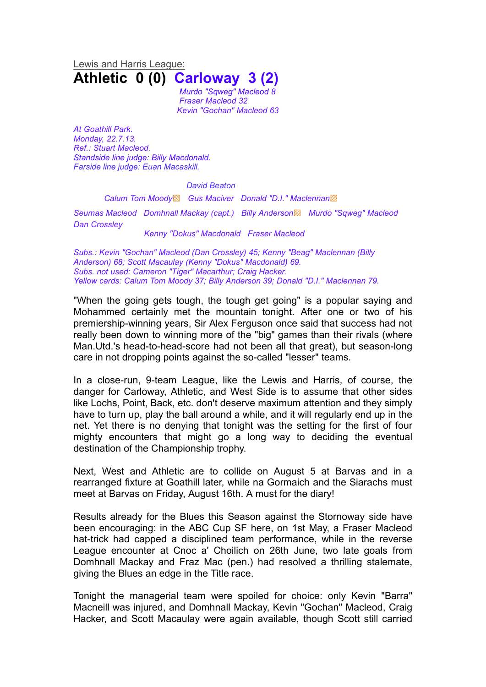Lewis and Harris League: **Athletic 0 (0) Carloway 3 (2)**

> *Murdo "Sqweg" Macleod 8 Fraser Macleod 32 Kevin "Gochan" Macleod 63*

*At Goathill Park. Monday, 22.7.13. Ref.: Stuart Macleod. Standside line judge: Billy Macdonald. Farside line judge: Euan Macaskill.*

## *David Beaton*

*Calum Tom Moody*▩ *Gus Maciver Donald "D.I." Maclennan*▩

*Seumas Macleod Domhnall Mackay (capt.) Billy Anderson*▩ *Murdo "Sqweg" Macleod Dan Crossley*

*Kenny "Dokus" Macdonald Fraser Macleod*

*Subs.: Kevin "Gochan" Macleod (Dan Crossley) 45; Kenny "Beag" Maclennan (Billy Anderson) 68; Scott Macaulay (Kenny "Dokus" Macdonald) 69. Subs. not used: Cameron "Tiger" Macarthur; Craig Hacker. Yellow cards: Calum Tom Moody 37; Billy Anderson 39; Donald "D.I." Maclennan 79.*

"When the going gets tough, the tough get going" is a popular saying and Mohammed certainly met the mountain tonight. After one or two of his premiership-winning years, Sir Alex Ferguson once said that success had not really been down to winning more of the "big" games than their rivals (where Man.Utd.'s head-to-head-score had not been all that great), but season-long care in not dropping points against the so-called "lesser" teams.

In a close-run, 9-team League, like the Lewis and Harris, of course, the danger for Carloway, Athletic, and West Side is to assume that other sides like Lochs, Point, Back, etc. don't deserve maximum attention and they simply have to turn up, play the ball around a while, and it will regularly end up in the net. Yet there is no denying that tonight was the setting for the first of four mighty encounters that might go a long way to deciding the eventual destination of the Championship trophy.

Next, West and Athletic are to collide on August 5 at Barvas and in a rearranged fixture at Goathill later, while na Gormaich and the Siarachs must meet at Barvas on Friday, August 16th. A must for the diary!

Results already for the Blues this Season against the Stornoway side have been encouraging: in the ABC Cup SF here, on 1st May, a Fraser Macleod hat-trick had capped a disciplined team performance, while in the reverse League encounter at Cnoc a' Choilich on 26th June, two late goals from Domhnall Mackay and Fraz Mac (pen.) had resolved a thrilling stalemate, giving the Blues an edge in the Title race.

Tonight the managerial team were spoiled for choice: only Kevin "Barra" Macneill was injured, and Domhnall Mackay, Kevin "Gochan" Macleod, Craig Hacker, and Scott Macaulay were again available, though Scott still carried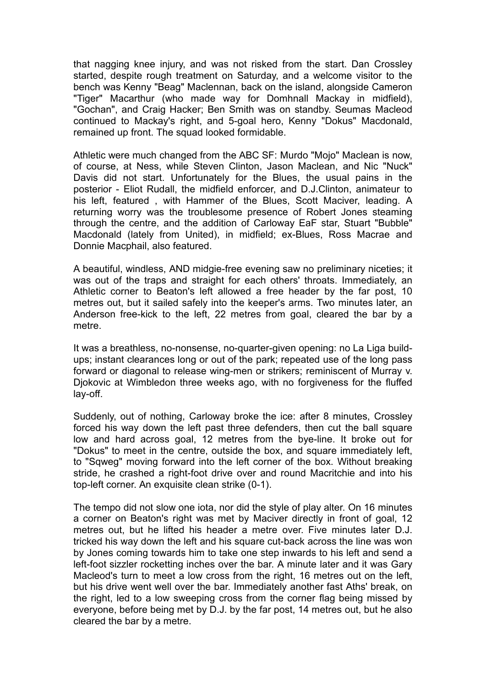that nagging knee injury, and was not risked from the start. Dan Crossley started, despite rough treatment on Saturday, and a welcome visitor to the bench was Kenny "Beag" Maclennan, back on the island, alongside Cameron "Tiger" Macarthur (who made way for Domhnall Mackay in midfield), "Gochan", and Craig Hacker; Ben Smith was on standby. Seumas Macleod continued to Mackay's right, and 5-goal hero, Kenny "Dokus" Macdonald, remained up front. The squad looked formidable.

Athletic were much changed from the ABC SF: Murdo "Mojo" Maclean is now, of course, at Ness, while Steven Clinton, Jason Maclean, and Nic "Nuck" Davis did not start. Unfortunately for the Blues, the usual pains in the posterior - Eliot Rudall, the midfield enforcer, and D.J.Clinton, animateur to his left, featured , with Hammer of the Blues, Scott Maciver, leading. A returning worry was the troublesome presence of Robert Jones steaming through the centre, and the addition of Carloway EaF star, Stuart "Bubble" Macdonald (lately from United), in midfield; ex-Blues, Ross Macrae and Donnie Macphail, also featured.

A beautiful, windless, AND midgie-free evening saw no preliminary niceties; it was out of the traps and straight for each others' throats. Immediately, an Athletic corner to Beaton's left allowed a free header by the far post, 10 metres out, but it sailed safely into the keeper's arms. Two minutes later, an Anderson free-kick to the left, 22 metres from goal, cleared the bar by a metre.

It was a breathless, no-nonsense, no-quarter-given opening: no La Liga buildups; instant clearances long or out of the park; repeated use of the long pass forward or diagonal to release wing-men or strikers; reminiscent of Murray v. Djokovic at Wimbledon three weeks ago, with no forgiveness for the fluffed lay-off.

Suddenly, out of nothing, Carloway broke the ice: after 8 minutes, Crossley forced his way down the left past three defenders, then cut the ball square low and hard across goal, 12 metres from the bye-line. It broke out for "Dokus" to meet in the centre, outside the box, and square immediately left, to "Sqweg" moving forward into the left corner of the box. Without breaking stride, he crashed a right-foot drive over and round Macritchie and into his top-left corner. An exquisite clean strike (0-1).

The tempo did not slow one iota, nor did the style of play alter. On 16 minutes a corner on Beaton's right was met by Maciver directly in front of goal, 12 metres out, but he lifted his header a metre over. Five minutes later D.J. tricked his way down the left and his square cut-back across the line was won by Jones coming towards him to take one step inwards to his left and send a left-foot sizzler rocketting inches over the bar. A minute later and it was Gary Macleod's turn to meet a low cross from the right, 16 metres out on the left, but his drive went well over the bar. Immediately another fast Aths' break, on the right, led to a low sweeping cross from the corner flag being missed by everyone, before being met by D.J. by the far post, 14 metres out, but he also cleared the bar by a metre.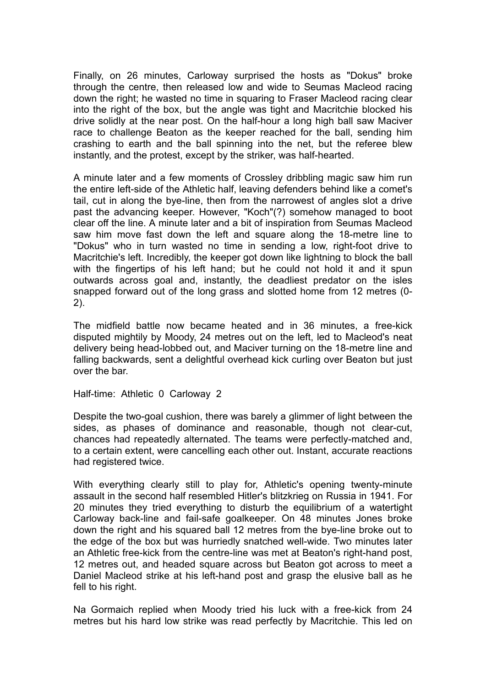Finally, on 26 minutes, Carloway surprised the hosts as "Dokus" broke through the centre, then released low and wide to Seumas Macleod racing down the right; he wasted no time in squaring to Fraser Macleod racing clear into the right of the box, but the angle was tight and Macritchie blocked his drive solidly at the near post. On the half-hour a long high ball saw Maciver race to challenge Beaton as the keeper reached for the ball, sending him crashing to earth and the ball spinning into the net, but the referee blew instantly, and the protest, except by the striker, was half-hearted.

A minute later and a few moments of Crossley dribbling magic saw him run the entire left-side of the Athletic half, leaving defenders behind like a comet's tail, cut in along the bye-line, then from the narrowest of angles slot a drive past the advancing keeper. However, "Koch"(?) somehow managed to boot clear off the line. A minute later and a bit of inspiration from Seumas Macleod saw him move fast down the left and square along the 18-metre line to "Dokus" who in turn wasted no time in sending a low, right-foot drive to Macritchie's left. Incredibly, the keeper got down like lightning to block the ball with the fingertips of his left hand; but he could not hold it and it spun outwards across goal and, instantly, the deadliest predator on the isles snapped forward out of the long grass and slotted home from 12 metres (0- 2).

The midfield battle now became heated and in 36 minutes, a free-kick disputed mightily by Moody, 24 metres out on the left, led to Macleod's neat delivery being head-lobbed out, and Maciver turning on the 18-metre line and falling backwards, sent a delightful overhead kick curling over Beaton but just over the bar.

Half-time: Athletic 0 Carloway 2

Despite the two-goal cushion, there was barely a glimmer of light between the sides, as phases of dominance and reasonable, though not clear-cut, chances had repeatedly alternated. The teams were perfectly-matched and, to a certain extent, were cancelling each other out. Instant, accurate reactions had registered twice.

With everything clearly still to play for, Athletic's opening twenty-minute assault in the second half resembled Hitler's blitzkrieg on Russia in 1941. For 20 minutes they tried everything to disturb the equilibrium of a watertight Carloway back-line and fail-safe goalkeeper. On 48 minutes Jones broke down the right and his squared ball 12 metres from the bye-line broke out to the edge of the box but was hurriedly snatched well-wide. Two minutes later an Athletic free-kick from the centre-line was met at Beaton's right-hand post, 12 metres out, and headed square across but Beaton got across to meet a Daniel Macleod strike at his left-hand post and grasp the elusive ball as he fell to his right.

Na Gormaich replied when Moody tried his luck with a free-kick from 24 metres but his hard low strike was read perfectly by Macritchie. This led on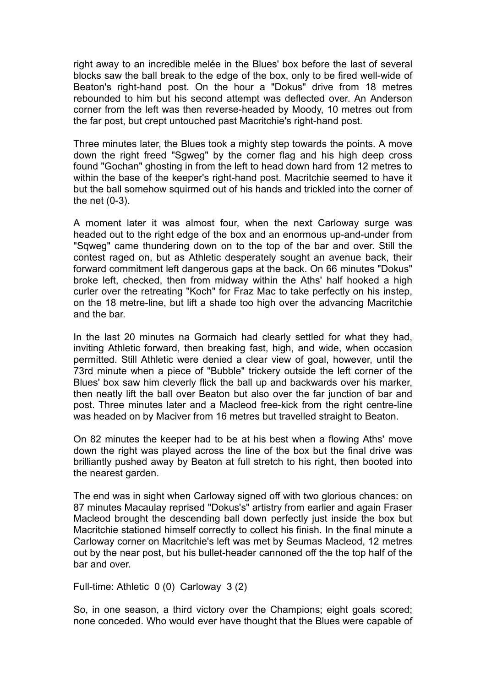right away to an incredible melée in the Blues' box before the last of several blocks saw the ball break to the edge of the box, only to be fired well-wide of Beaton's right-hand post. On the hour a "Dokus" drive from 18 metres rebounded to him but his second attempt was deflected over. An Anderson corner from the left was then reverse-headed by Moody, 10 metres out from the far post, but crept untouched past Macritchie's right-hand post.

Three minutes later, the Blues took a mighty step towards the points. A move down the right freed "Sgweg" by the corner flag and his high deep cross found "Gochan" ghosting in from the left to head down hard from 12 metres to within the base of the keeper's right-hand post. Macritchie seemed to have it but the ball somehow squirmed out of his hands and trickled into the corner of the net (0-3).

A moment later it was almost four, when the next Carloway surge was headed out to the right edge of the box and an enormous up-and-under from "Sqweg" came thundering down on to the top of the bar and over. Still the contest raged on, but as Athletic desperately sought an avenue back, their forward commitment left dangerous gaps at the back. On 66 minutes "Dokus" broke left, checked, then from midway within the Aths' half hooked a high curler over the retreating "Koch" for Fraz Mac to take perfectly on his instep, on the 18 metre-line, but lift a shade too high over the advancing Macritchie and the bar.

In the last 20 minutes na Gormaich had clearly settled for what they had, inviting Athletic forward, then breaking fast, high, and wide, when occasion permitted. Still Athletic were denied a clear view of goal, however, until the 73rd minute when a piece of "Bubble" trickery outside the left corner of the Blues' box saw him cleverly flick the ball up and backwards over his marker, then neatly lift the ball over Beaton but also over the far junction of bar and post. Three minutes later and a Macleod free-kick from the right centre-line was headed on by Maciver from 16 metres but travelled straight to Beaton.

On 82 minutes the keeper had to be at his best when a flowing Aths' move down the right was played across the line of the box but the final drive was brilliantly pushed away by Beaton at full stretch to his right, then booted into the nearest garden.

The end was in sight when Carloway signed off with two glorious chances: on 87 minutes Macaulay reprised "Dokus's" artistry from earlier and again Fraser Macleod brought the descending ball down perfectly just inside the box but Macritchie stationed himself correctly to collect his finish. In the final minute a Carloway corner on Macritchie's left was met by Seumas Macleod, 12 metres out by the near post, but his bullet-header cannoned off the the top half of the bar and over.

Full-time: Athletic 0 (0) Carloway 3 (2)

So, in one season, a third victory over the Champions; eight goals scored; none conceded. Who would ever have thought that the Blues were capable of